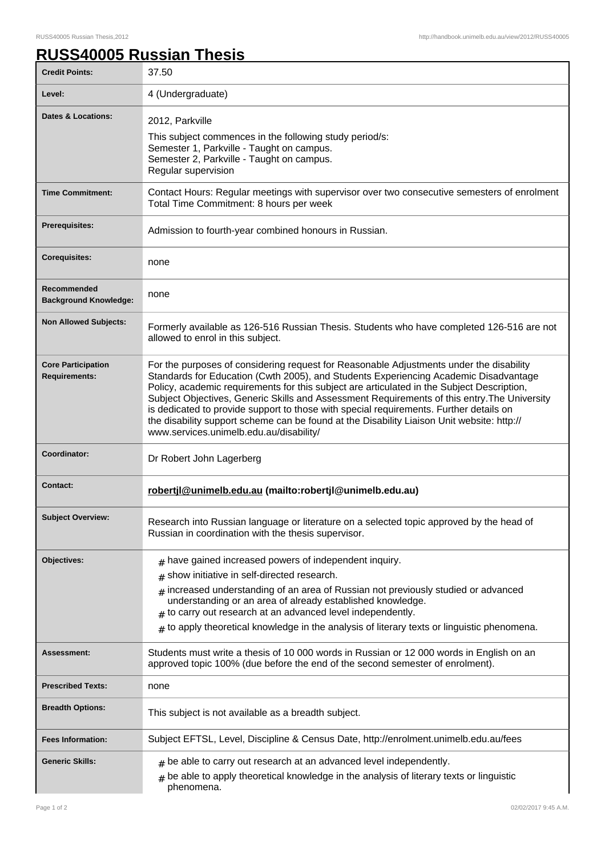٦

## **RUSS40005 Russian Thesis**

| <b>Credit Points:</b>                             | 37.50                                                                                                                                                                                                                                                                                                                                                                                                                                                                                                                                                                                                            |
|---------------------------------------------------|------------------------------------------------------------------------------------------------------------------------------------------------------------------------------------------------------------------------------------------------------------------------------------------------------------------------------------------------------------------------------------------------------------------------------------------------------------------------------------------------------------------------------------------------------------------------------------------------------------------|
| Level:                                            | 4 (Undergraduate)                                                                                                                                                                                                                                                                                                                                                                                                                                                                                                                                                                                                |
| <b>Dates &amp; Locations:</b>                     | 2012, Parkville<br>This subject commences in the following study period/s:<br>Semester 1, Parkville - Taught on campus.<br>Semester 2, Parkville - Taught on campus.<br>Regular supervision                                                                                                                                                                                                                                                                                                                                                                                                                      |
| <b>Time Commitment:</b>                           | Contact Hours: Regular meetings with supervisor over two consecutive semesters of enrolment<br>Total Time Commitment: 8 hours per week                                                                                                                                                                                                                                                                                                                                                                                                                                                                           |
| Prerequisites:                                    | Admission to fourth-year combined honours in Russian.                                                                                                                                                                                                                                                                                                                                                                                                                                                                                                                                                            |
| <b>Corequisites:</b>                              | none                                                                                                                                                                                                                                                                                                                                                                                                                                                                                                                                                                                                             |
| Recommended<br><b>Background Knowledge:</b>       | none                                                                                                                                                                                                                                                                                                                                                                                                                                                                                                                                                                                                             |
| <b>Non Allowed Subjects:</b>                      | Formerly available as 126-516 Russian Thesis. Students who have completed 126-516 are not<br>allowed to enrol in this subject.                                                                                                                                                                                                                                                                                                                                                                                                                                                                                   |
| <b>Core Participation</b><br><b>Requirements:</b> | For the purposes of considering request for Reasonable Adjustments under the disability<br>Standards for Education (Cwth 2005), and Students Experiencing Academic Disadvantage<br>Policy, academic requirements for this subject are articulated in the Subject Description,<br>Subject Objectives, Generic Skills and Assessment Requirements of this entry. The University<br>is dedicated to provide support to those with special requirements. Further details on<br>the disability support scheme can be found at the Disability Liaison Unit website: http://<br>www.services.unimelb.edu.au/disability/ |
| Coordinator:                                      | Dr Robert John Lagerberg                                                                                                                                                                                                                                                                                                                                                                                                                                                                                                                                                                                         |
| <b>Contact:</b>                                   | robertjl@unimelb.edu.au (mailto:robertjl@unimelb.edu.au)                                                                                                                                                                                                                                                                                                                                                                                                                                                                                                                                                         |
| <b>Subject Overview:</b>                          | Research into Russian language or literature on a selected topic approved by the head of<br>Russian in coordination with the thesis supervisor.                                                                                                                                                                                                                                                                                                                                                                                                                                                                  |
| Objectives:                                       | $#$ have gained increased powers of independent inquiry.<br>show initiative in self-directed research.<br>#<br>$_{\#}$ increased understanding of an area of Russian not previously studied or advanced<br>understanding or an area of already established knowledge.<br>$#$ to carry out research at an advanced level independently.<br>$*$ to apply theoretical knowledge in the analysis of literary texts or linguistic phenomena.                                                                                                                                                                          |
| Assessment:                                       | Students must write a thesis of 10 000 words in Russian or 12 000 words in English on an<br>approved topic 100% (due before the end of the second semester of enrolment).                                                                                                                                                                                                                                                                                                                                                                                                                                        |
| <b>Prescribed Texts:</b>                          | none                                                                                                                                                                                                                                                                                                                                                                                                                                                                                                                                                                                                             |
| <b>Breadth Options:</b>                           | This subject is not available as a breadth subject.                                                                                                                                                                                                                                                                                                                                                                                                                                                                                                                                                              |
| <b>Fees Information:</b>                          | Subject EFTSL, Level, Discipline & Census Date, http://enrolment.unimelb.edu.au/fees                                                                                                                                                                                                                                                                                                                                                                                                                                                                                                                             |
| <b>Generic Skills:</b>                            | $#$ be able to carry out research at an advanced level independently.<br>$#$ be able to apply theoretical knowledge in the analysis of literary texts or linguistic<br>phenomena.                                                                                                                                                                                                                                                                                                                                                                                                                                |